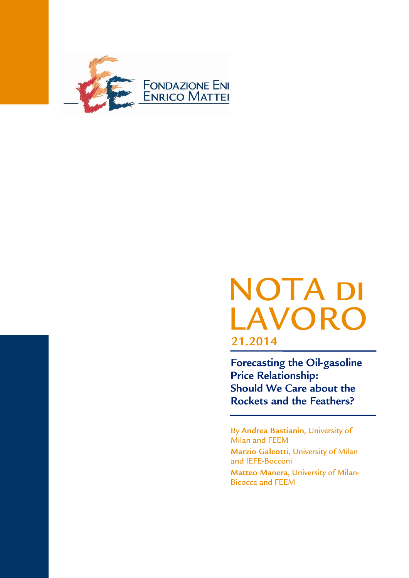

# NOTA DI LAVOR 21.2014

Forecasting the Oil-gasoline **Price Relationship:** Should We Care about the **Rockets and the Feathers?** 

By Andrea Bastianin, University of Milan and FEEM

Marzio Galeotti, University of Milan and IEFE-Bocconi

Matteo Manera, University of Milan-**Bicocca and FEEM**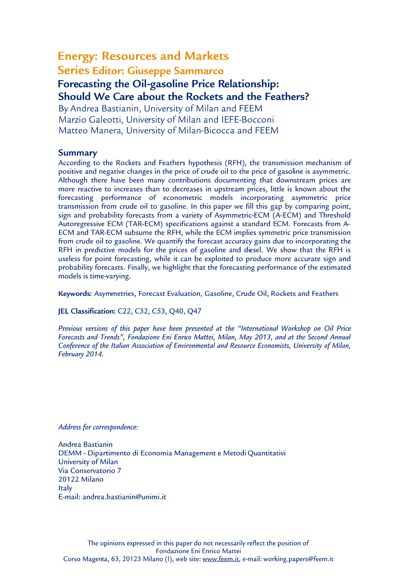## **Energy: Resources and Markets**

Series Editor: Giuseppe Sammarco

## Forecasting the Oil-gasoline Price Relationship: Should We Care about the Rockets and the Feathers?

By Andrea Bastianin, University of Milan and FEEM Marzio Galeotti, University of Milan and IEFE-Bocconi Matteo Manera, University of Milan-Bicocca and FEEM

#### **Summary**

According to the Rockets and Feathers hypothesis (RFH), the transmission mechanism of positive and negative changes in the price of crude oil to the price of gasoline is asymmetric. Although there have been many contributions documenting that downstream prices are more reactive to increases than to decreases in upstream prices, little is known about the forecasting performance of econometric models incorporating asymmetric price transmission from crude oil to gasoline. In this paper we fill this gap by comparing point, sign and probability forecasts from a variety of Asymmetric-ECM (A-ECM) and Threshold Autoregressive ECM (TAR-ECM) specifications against a standard ECM. Forecasts from A-ECM and TAR-ECM subsume the RFH, while the ECM implies symmetric price transmission from crude oil to gasoline. We quantify the forecast accuracy gains due to incorporating the RFH in predictive models for the prices of gasoline and diesel. We show that the RFH is useless for point forecasting, while it can be exploited to produce more accurate sign and probability forecasts. Finally, we highlight that the forecasting performance of the estimated models is time-varying.

Keywords: Asymmetries, Forecast Evaluation, Gasoline, Crude Oil, Rockets and Feathers

JEL Classification: C22, C32, C53, Q40, Q47

Previous versions of this paper have been presented at the "International Workshop on Oil Price Forecasts and Trends", Fondazione Eni Enrico Mattei, Milan, May 2013, and at the Second Annual Conference of the Italian Association of Environmental and Resource Economists, University of Milan, February 2014.

#### Address for correspondence:

Andrea Bastianin DEMM - Dipartimento di Economia Management e Metodi Quantitativi University of Milan Via Conservatorio 7 **20122 Milano** Italy E-mail: andrea.bastianin@unimi.it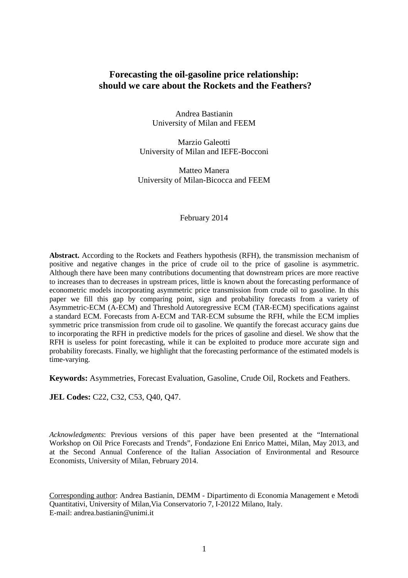#### **Forecasting the oil-gasoline price relationship: should we care about the Rockets and the Feathers?**

Andrea Bastianin University of Milan and FEEM

Marzio Galeotti University of Milan and IEFE-Bocconi

Matteo Manera University of Milan-Bicocca and FEEM

February 2014

**Abstract.** According to the Rockets and Feathers hypothesis (RFH), the transmission mechanism of positive and negative changes in the price of crude oil to the price of gasoline is asymmetric. Although there have been many contributions documenting that downstream prices are more reactive to increases than to decreases in upstream prices, little is known about the forecasting performance of econometric models incorporating asymmetric price transmission from crude oil to gasoline. In this paper we fill this gap by comparing point, sign and probability forecasts from a variety of Asymmetric-ECM (A-ECM) and Threshold Autoregressive ECM (TAR-ECM) specifications against a standard ECM. Forecasts from A-ECM and TAR-ECM subsume the RFH, while the ECM implies symmetric price transmission from crude oil to gasoline. We quantify the forecast accuracy gains due to incorporating the RFH in predictive models for the prices of gasoline and diesel. We show that the RFH is useless for point forecasting, while it can be exploited to produce more accurate sign and probability forecasts. Finally, we highlight that the forecasting performance of the estimated models is time-varying.

**Keywords:** Asymmetries, Forecast Evaluation, Gasoline, Crude Oil, Rockets and Feathers.

**JEL Codes:** C22, C32, C53, Q40, Q47.

*Acknowledgments*: Previous versions of this paper have been presented at the "International Workshop on Oil Price Forecasts and Trends", Fondazione Eni Enrico Mattei, Milan, May 2013, and at the Second Annual Conference of the Italian Association of Environmental and Resource Economists, University of Milan, February 2014.

Corresponding author: Andrea Bastianin, DEMM - Dipartimento di Economia Management e Metodi Quantitativi, University of Milan,Via Conservatorio 7, I-20122 Milano, Italy. E-mail: andrea.bastianin@unimi.it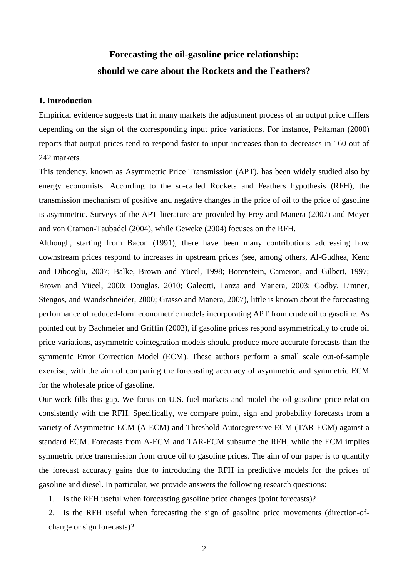## **Forecasting the oil-gasoline price relationship: should we care about the Rockets and the Feathers?**

#### **1. Introduction**

Empirical evidence suggests that in many markets the adjustment process of an output price differs depending on the sign of the corresponding input price variations. For instance, Peltzman (2000) reports that output prices tend to respond faster to input increases than to decreases in 160 out of 242 markets.

This tendency, known as Asymmetric Price Transmission (APT), has been widely studied also by energy economists. According to the so-called Rockets and Feathers hypothesis (RFH), the transmission mechanism of positive and negative changes in the price of oil to the price of gasoline is asymmetric. Surveys of the APT literature are provided by Frey and Manera (2007) and Meyer and von Cramon-Taubadel (2004), while Geweke (2004) focuses on the RFH.

Although, starting from Bacon (1991), there have been many contributions addressing how downstream prices respond to increases in upstream prices (see, among others, Al-Gudhea, Kenc and Dibooglu, 2007; Balke, Brown and Yücel, 1998; Borenstein, Cameron, and Gilbert, 1997; Brown and Yücel, 2000; Douglas, 2010; Galeotti, Lanza and Manera, 2003; Godby, Lintner, Stengos, and Wandschneider, 2000; Grasso and Manera, 2007), little is known about the forecasting performance of reduced-form econometric models incorporating APT from crude oil to gasoline. As pointed out by Bachmeier and Griffin (2003), if gasoline prices respond asymmetrically to crude oil price variations, asymmetric cointegration models should produce more accurate forecasts than the symmetric Error Correction Model (ECM). These authors perform a small scale out-of-sample exercise, with the aim of comparing the forecasting accuracy of asymmetric and symmetric ECM for the wholesale price of gasoline.

Our work fills this gap. We focus on U.S. fuel markets and model the oil-gasoline price relation consistently with the RFH. Specifically, we compare point, sign and probability forecasts from a variety of Asymmetric-ECM (A-ECM) and Threshold Autoregressive ECM (TAR-ECM) against a standard ECM. Forecasts from A-ECM and TAR-ECM subsume the RFH, while the ECM implies symmetric price transmission from crude oil to gasoline prices. The aim of our paper is to quantify the forecast accuracy gains due to introducing the RFH in predictive models for the prices of gasoline and diesel. In particular, we provide answers the following research questions:

1. Is the RFH useful when forecasting gasoline price changes (point forecasts)?

2. Is the RFH useful when forecasting the sign of gasoline price movements (direction-ofchange or sign forecasts)?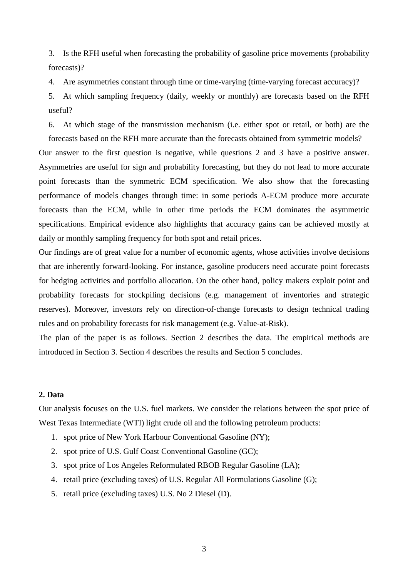3. Is the RFH useful when forecasting the probability of gasoline price movements (probability forecasts)?

4. Are asymmetries constant through time or time-varying (time-varying forecast accuracy)?

5. At which sampling frequency (daily, weekly or monthly) are forecasts based on the RFH useful?

6. At which stage of the transmission mechanism (i.e. either spot or retail, or both) are the forecasts based on the RFH more accurate than the forecasts obtained from symmetric models?

Our answer to the first question is negative, while questions 2 and 3 have a positive answer. Asymmetries are useful for sign and probability forecasting, but they do not lead to more accurate point forecasts than the symmetric ECM specification. We also show that the forecasting performance of models changes through time: in some periods A-ECM produce more accurate forecasts than the ECM, while in other time periods the ECM dominates the asymmetric specifications. Empirical evidence also highlights that accuracy gains can be achieved mostly at daily or monthly sampling frequency for both spot and retail prices.

Our findings are of great value for a number of economic agents, whose activities involve decisions that are inherently forward-looking. For instance, gasoline producers need accurate point forecasts for hedging activities and portfolio allocation. On the other hand, policy makers exploit point and probability forecasts for stockpiling decisions (e.g. management of inventories and strategic reserves). Moreover, investors rely on direction-of-change forecasts to design technical trading rules and on probability forecasts for risk management (e.g. Value-at-Risk).

The plan of the paper is as follows. Section 2 describes the data. The empirical methods are introduced in Section 3. Section 4 describes the results and Section 5 concludes.

#### **2. Data**

Our analysis focuses on the U.S. fuel markets. We consider the relations between the spot price of West Texas Intermediate (WTI) light crude oil and the following petroleum products:

- 1. spot price of New York Harbour Conventional Gasoline (NY);
- 2. spot price of U.S. Gulf Coast Conventional Gasoline (GC);
- 3. spot price of Los Angeles Reformulated RBOB Regular Gasoline (LA);
- 4. retail price (excluding taxes) of U.S. Regular All Formulations Gasoline (G);
- 5. retail price (excluding taxes) U.S. No 2 Diesel (D).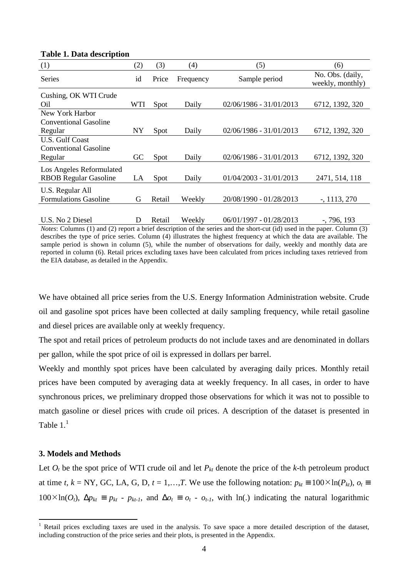#### **Table 1. Data description**

| (1)                                                                                                                                                                                                                                                                                                                                | (2)       | (3)                         | (4)       | (5)                         | (6)                                            |
|------------------------------------------------------------------------------------------------------------------------------------------------------------------------------------------------------------------------------------------------------------------------------------------------------------------------------------|-----------|-----------------------------|-----------|-----------------------------|------------------------------------------------|
| Series                                                                                                                                                                                                                                                                                                                             | id        | Price                       | Frequency | Sample period               | No. Obs. (daily,<br>weekly, monthly)           |
| Cushing, OK WTI Crude<br>Oil                                                                                                                                                                                                                                                                                                       | WTI       | Spot                        | Daily     | $02/06/1986 - 31/01/2013$   | 6712, 1392, 320                                |
| New York Harbor<br><b>Conventional Gasoline</b>                                                                                                                                                                                                                                                                                    |           |                             |           |                             |                                                |
| Regular                                                                                                                                                                                                                                                                                                                            | <b>NY</b> | Spot                        | Daily     | $02/06/1986 - 31/01/2013$   | 6712, 1392, 320                                |
| <b>U.S. Gulf Coast</b><br><b>Conventional Gasoline</b><br>Regular                                                                                                                                                                                                                                                                  | GC        | Spot                        | Daily     | $02/06/1986 - 31/01/2013$   | 6712, 1392, 320                                |
| Los Angeles Reformulated<br><b>RBOB Regular Gasoline</b>                                                                                                                                                                                                                                                                           | LA        | Spot                        | Daily     | $01/04/2003 - 31/01/2013$   | 2471, 514, 118                                 |
| U.S. Regular All<br><b>Formulations Gasoline</b>                                                                                                                                                                                                                                                                                   | G         | Retail                      | Weekly    | 20/08/1990 - 01/28/2013     | $-$ , 1113, 270                                |
| $\mathbf{v}$ $\mathbf{v}$ $\mathbf{v}$ $\mathbf{v}$ $\mathbf{v}$ $\mathbf{v}$ $\mathbf{v}$ $\mathbf{v}$ $\mathbf{v}$ $\mathbf{v}$ $\mathbf{v}$ $\mathbf{v}$ $\mathbf{v}$ $\mathbf{v}$ $\mathbf{v}$ $\mathbf{v}$ $\mathbf{v}$ $\mathbf{v}$ $\mathbf{v}$ $\mathbf{v}$ $\mathbf{v}$ $\mathbf{v}$ $\mathbf{v}$ $\mathbf{v}$ $\mathbf{$ |           | $\sim$ $\sim$ $\sim$ $\sim$ |           | $0.510411000$ $0.410010040$ | $\blacksquare$ $\land$ $\land$ $\land$ $\land$ |

U.S. No 2 Diesel D Retail Weekly 06/01/1997 - 01/28/2013 -, 796, 193 *Notes*: Columns (1) and (2) report a brief description of the series and the short-cut (id) used in the paper. Column (3) describes the type of price series. Column (4) illustrates the highest frequency at which the data are available. The sample period is shown in column (5), while the number of observations for daily, weekly and monthly data are reported in column (6). Retail prices excluding taxes have been calculated from prices including taxes retrieved from the EIA database, as detailed in the Appendix.

We have obtained all price series from the U.S. Energy Information Administration website. Crude oil and gasoline spot prices have been collected at daily sampling frequency, while retail gasoline and diesel prices are available only at weekly frequency.

The spot and retail prices of petroleum products do not include taxes and are denominated in dollars per gallon, while the spot price of oil is expressed in dollars per barrel.

Weekly and monthly spot prices have been calculated by averaging daily prices. Monthly retail prices have been computed by averaging data at weekly frequency. In all cases, in order to have synchronous prices, we preliminary dropped those observations for which it was not to possible to match gasoline or diesel prices with crude oil prices. A description of the dataset is presented in Table  $1<sup>1</sup>$ 

#### **3. Models and Methods**

l

Let  $O_t$  be the spot price of WTI crude oil and let  $P_{kt}$  denote the price of the *k*-th petroleum product at time *t*,  $k = NY$ , GC, LA, G, D,  $t = 1,...,T$ . We use the following notation:  $p_{kt} \equiv 100 \times \ln(P_{kt})$ ,  $o_t \equiv$ 100×ln(*O<sub>t</sub>*),  $\Delta p_{kt} \equiv p_{kt} - p_{kt-1}$ , and  $\Delta o_t \equiv o_t - o_{t-1}$ , with ln(*c*) indicating the natural logarithmic

<sup>&</sup>lt;sup>1</sup> Retail prices excluding taxes are used in the analysis. To save space a more detailed description of the dataset, including construction of the price series and their plots, is presented in the Appendix.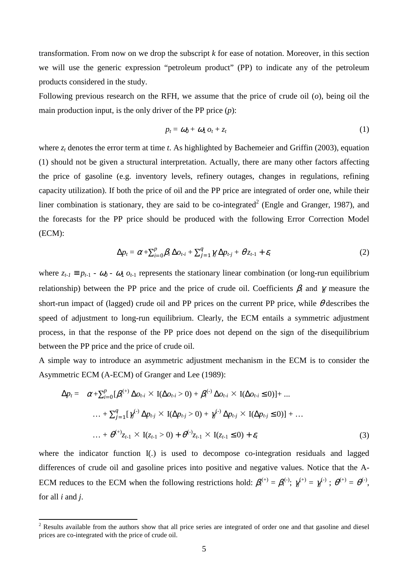transformation. From now on we drop the subscript *k* for ease of notation. Moreover, in this section we will use the generic expression "petroleum product" (PP) to indicate any of the petroleum products considered in the study.

Following previous research on the RFH, we assume that the price of crude oil (*o*), being oil the main production input, is the only driver of the PP price (*p*):

$$
p_t = \omega_0 + \omega_1 \, o_t + z_t \tag{1}
$$

where  $z_t$  denotes the error term at time  $t$ . As highlighted by Bachemeier and Griffin (2003), equation (1) should not be given a structural interpretation. Actually, there are many other factors affecting the price of gasoline (e.g. inventory levels, refinery outages, changes in regulations, refining capacity utilization). If both the price of oil and the PP price are integrated of order one, while their liner combination is stationary, they are said to be co-integrated<sup>2</sup> (Engle and Granger, 1987), and the forecasts for the PP price should be produced with the following Error Correction Model (ECM):

$$
\Delta p_t = \alpha + \sum_{i=0}^p \beta_i \, \Delta o_{t-i} + \sum_{j=1}^q \gamma_j \, \Delta p_{t-j} + \theta z_{t-1} + \varepsilon_t \tag{2}
$$

where  $z_{t-1} \equiv p_{t-1} - \omega_0 - \omega_1 \sigma_{t-1}$  represents the stationary linear combination (or long-run equilibrium relationship) between the PP price and the price of crude oil. Coefficients  $\beta_i$  and  $\gamma_j$  measure the short-run impact of (lagged) crude oil and PP prices on the current PP price, while  $\theta$  describes the speed of adjustment to long-run equilibrium. Clearly, the ECM entails a symmetric adjustment process, in that the response of the PP price does not depend on the sign of the disequilibrium between the PP price and the price of crude oil.

A simple way to introduce an asymmetric adjustment mechanism in the ECM is to consider the Asymmetric ECM (A-ECM) of Granger and Lee (1989):

$$
\Delta p_t = \alpha + \sum_{i=0}^p [\beta_i^{(+)} \Delta o_{t-i} \times I(\Delta o_{t-i} > 0) + \beta_i^{(-)} \Delta o_{t-i} \times I(\Delta o_{t-i} \le 0)] + ...
$$
  
\n
$$
\dots + \sum_{j=1}^q [\gamma_j^{(-)} \Delta p_{t-j} \times I(\Delta p_{t-j} > 0) + \gamma_j^{(-)} \Delta p_{t-j} \times I(\Delta p_{t-j} \le 0)] + ...
$$
  
\n
$$
\dots + \theta_{(+)z_{t-1} \times I(z_{t-1} > 0) + \theta_{-z_{t-1} \times I(z_{t-1} \le 0) + \varepsilon_t} \tag{3}
$$

where the indicator function I(.) is used to decompose co-integration residuals and lagged differences of crude oil and gasoline prices into positive and negative values. Notice that the A-ECM reduces to the ECM when the following restrictions hold:  $\beta_i^{(+)} = \beta_i^{(-)}$ ;  $\gamma_j^{(+)} = \gamma_j^{(-)}$ ;  $\theta^{(+)} = \theta^{(-)}$ , for all *i* and *j*.

l

 $2^2$  Results available from the authors show that all price series are integrated of order one and that gasoline and diesel prices are co-integrated with the price of crude oil.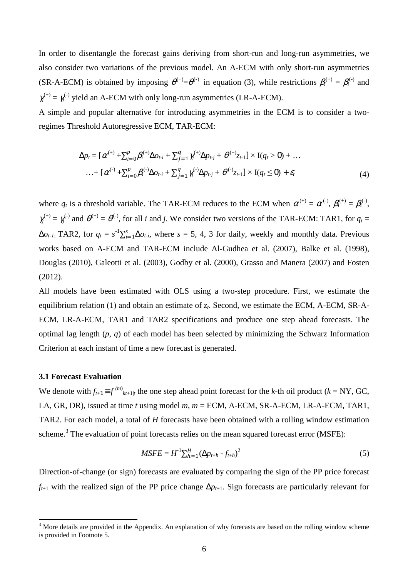In order to disentangle the forecast gains deriving from short-run and long-run asymmetries, we also consider two variations of the previous model. An A-ECM with only short-run asymmetries (SR-A-ECM) is obtained by imposing  $\theta^{(+)} = \theta^{(-)}$  in equation (3), while restrictions  $\beta^{(+)}_i = \beta^{(-)}_i$  and  $\chi^{(+)} = \chi^{(-)}$  yield an A-ECM with only long-run asymmetries (LR-A-ECM).

A simple and popular alternative for introducing asymmetries in the ECM is to consider a tworegimes Threshold Autoregressive ECM, TAR-ECM:

$$
\Delta p_t = [\alpha^{(+)} + \sum_{i=0}^p \beta_i^{(+)} \Delta o_{t-i} + \sum_{j=1}^q \gamma_j^{(+)} \Delta p_{t-j} + \theta^{(+)} z_{t-1}] \times I(q_t > 0) + ... \n... + [\alpha^{(-)} + \sum_{i=0}^p \beta_i^{(-)} \Delta o_{t-i} + \sum_{j=1}^q \gamma_j^{(-)} \Delta p_{t-j} + \theta^{(-)} z_{t-1}] \times I(q_t \le 0) + \varepsilon_t
$$
\n(4)

where  $q_t$  is a threshold variable. The TAR-ECM reduces to the ECM when  $\alpha^{(+)} = \alpha^{(-)}, \beta_i^{(+)} = \beta_i^{(-)},$  $\gamma_j^{(+)} = \gamma_j^{(-)}$  and  $\theta^{(+)} = \theta^{(-)}$ , for all *i* and *j*. We consider two versions of the TAR-ECM: TAR1, for  $q_t =$  $\Delta o_{t-1}$ ; TAR2, for  $q_t = s^{-1} \sum_{i=1}^s \Delta o_{t-i}$ , where  $s = 5, 4, 3$  for daily, weekly and monthly data. Previous works based on A-ECM and TAR-ECM include Al-Gudhea et al. (2007), Balke et al. (1998), Douglas (2010), Galeotti et al. (2003), Godby et al. (2000), Grasso and Manera (2007) and Fosten (2012).

All models have been estimated with OLS using a two-step procedure. First, we estimate the equilibrium relation (1) and obtain an estimate of *z<sup>t</sup>* . Second, we estimate the ECM, A-ECM, SR-A-ECM, LR-A-ECM, TAR1 and TAR2 specifications and produce one step ahead forecasts. The optimal lag length (*p*, *q*) of each model has been selected by minimizing the Schwarz Information Criterion at each instant of time a new forecast is generated.

#### **3.1 Forecast Evaluation**

l

We denote with  $f_{t+1} = f^{(m)}_{k+1|t}$  the one step ahead point forecast for the *k*-th oil product (*k* = NY, GC, LA, GR, DR), issued at time *t* using model *m*, *m* = ECM, A-ECM, SR-A-ECM, LR-A-ECM, TAR1, TAR2. For each model, a total of *H* forecasts have been obtained with a rolling window estimation scheme.<sup>3</sup> The evaluation of point forecasts relies on the mean squared forecast error (MSFE):

$$
MSFE = H^{1} \sum_{h=1}^{H} (\Delta p_{t+h} - f_{t+h})^{2}
$$
 (5)

Direction-of-change (or sign) forecasts are evaluated by comparing the sign of the PP price forecast  $f_{t+1}$  with the realized sign of the PP price change  $\Delta p_{t+1}$ . Sign forecasts are particularly relevant for

 $3$  More details are provided in the Appendix. An explanation of why forecasts are based on the rolling window scheme is provided in Footnote 5.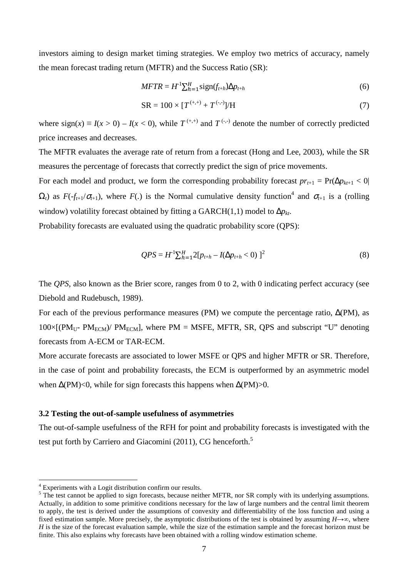investors aiming to design market timing strategies. We employ two metrics of accuracy, namely the mean forecast trading return (MFTR) and the Success Ratio (SR):

$$
MFTR = H^{-1} \sum_{h=1}^{H} sign(f_{t+h}) \Delta p_{t+h}
$$
\n
$$
(6)
$$

$$
SR = 100 \times [T^{(+,+)} + T^{(-,-)}]/H
$$
 (7)

where  $sign(x) \equiv I(x > 0) - I(x < 0)$ , while  $T^{(+,+)}$  and  $T^{(-,-)}$  denote the number of correctly predicted price increases and decreases.

The MFTR evaluates the average rate of return from a forecast (Hong and Lee, 2003), while the SR measures the percentage of forecasts that correctly predict the sign of price movements.

For each model and product, we form the corresponding probability forecast  $pr_{t+1} = Pr(\Delta p_{k+1} < 0)$  $\Omega_t$ ) as  $F(\frac{f}{f}t+1/\sigma_{t+1})$ , where  $F(.)$  is the Normal cumulative density function<sup>4</sup> and  $\sigma_{t+1}$  is a (rolling window) volatility forecast obtained by fitting a GARCH(1,1) model to ∆*pkt*.

Probability forecasts are evaluated using the quadratic probability score (QPS):

$$
QPS = H^{-1} \sum_{h=1}^{H} 2[p_{t+h} - I(\Delta p_{t+h} < 0)]^2 \tag{8}
$$

The *QPS*, also known as the Brier score, ranges from 0 to 2, with 0 indicating perfect accuracy (see Diebold and Rudebusch, 1989).

For each of the previous performance measures (PM) we compute the percentage ratio, ∆(PM), as  $100\times$ [(PM<sub>U</sub>- PM<sub>ECM</sub>)/ PM<sub>ECM</sub>], where PM = MSFE, MFTR, SR, OPS and subscript "U" denoting forecasts from A-ECM or TAR-ECM.

More accurate forecasts are associated to lower MSFE or QPS and higher MFTR or SR. Therefore, in the case of point and probability forecasts, the ECM is outperformed by an asymmetric model when ∆(PM)<0, while for sign forecasts this happens when ∆(PM)>0.

#### **3.2 Testing the out-of-sample usefulness of asymmetries**

The out-of-sample usefulness of the RFH for point and probability forecasts is investigated with the test put forth by Carriero and Giacomini (2011), CG henceforth.<sup>5</sup>

l

<sup>&</sup>lt;sup>4</sup> Experiments with a Logit distribution confirm our results.

<sup>&</sup>lt;sup>5</sup> The test cannot be applied to sign forecasts, because neither MFTR, nor SR comply with its underlying assumptions. Actually, in addition to some primitive conditions necessary for the law of large numbers and the central limit theorem to apply, the test is derived under the assumptions of convexity and differentiability of the loss function and using a fixed estimation sample. More precisely, the asymptotic distributions of the test is obtained by assuming *H→∞*, where *H* is the size of the forecast evaluation sample, while the size of the estimation sample and the forecast horizon must be finite. This also explains why forecasts have been obtained with a rolling window estimation scheme.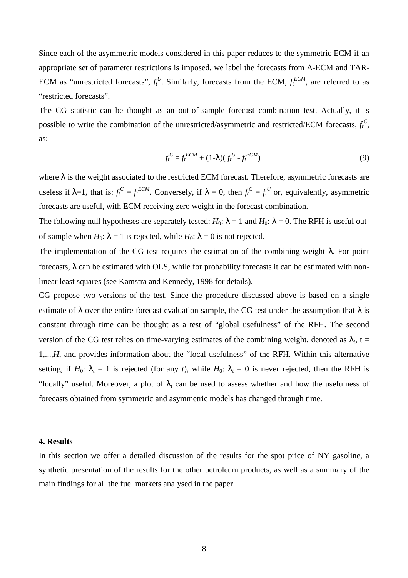Since each of the asymmetric models considered in this paper reduces to the symmetric ECM if an appropriate set of parameter restrictions is imposed, we label the forecasts from A-ECM and TAR-ECM as "unrestricted forecasts",  $f_t^U$ . Similarly, forecasts from the ECM,  $f_t^{ECM}$ , are referred to as "restricted forecasts".

The CG statistic can be thought as an out-of-sample forecast combination test. Actually, it is possible to write the combination of the unrestricted/asymmetric and restricted/ECM forecasts,  $f_t^C$ , as:

$$
f_t^C = f_t^{ECM} + (1 - \lambda)(f_t^U - f_t^{ECM})
$$
\n(9)

where  $\lambda$  is the weight associated to the restricted ECM forecast. Therefore, asymmetric forecasts are useless if  $\lambda = 1$ , that is:  $f_t^C = f_t^{ECM}$ . Conversely, if  $\lambda = 0$ , then  $f_t^C = f_t^U$  or, equivalently, asymmetric forecasts are useful, with ECM receiving zero weight in the forecast combination.

The following null hypotheses are separately tested:  $H_0$ :  $\lambda = 1$  and  $H_0$ :  $\lambda = 0$ . The RFH is useful outof-sample when  $H_0$ :  $\lambda = 1$  is rejected, while  $H_0$ :  $\lambda = 0$  is not rejected.

The implementation of the CG test requires the estimation of the combining weight  $\lambda$ . For point forecasts,  $\lambda$  can be estimated with OLS, while for probability forecasts it can be estimated with nonlinear least squares (see Kamstra and Kennedy, 1998 for details).

CG propose two versions of the test. Since the procedure discussed above is based on a single estimate of  $\lambda$  over the entire forecast evaluation sample, the CG test under the assumption that  $\lambda$  is constant through time can be thought as a test of "global usefulness" of the RFH. The second version of the CG test relies on time-varying estimates of the combining weight, denoted as  $\lambda_t$ , t = 1,...,*H*, and provides information about the "local usefulness" of the RFH. Within this alternative setting, if  $H_0$ :  $\lambda_t = 1$  is rejected (for any *t*), while  $H_0$ :  $\lambda_t = 0$  is never rejected, then the RFH is "locally" useful. Moreover, a plot of  $\lambda_t$  can be used to assess whether and how the usefulness of forecasts obtained from symmetric and asymmetric models has changed through time.

#### **4. Results**

In this section we offer a detailed discussion of the results for the spot price of NY gasoline, a synthetic presentation of the results for the other petroleum products, as well as a summary of the main findings for all the fuel markets analysed in the paper.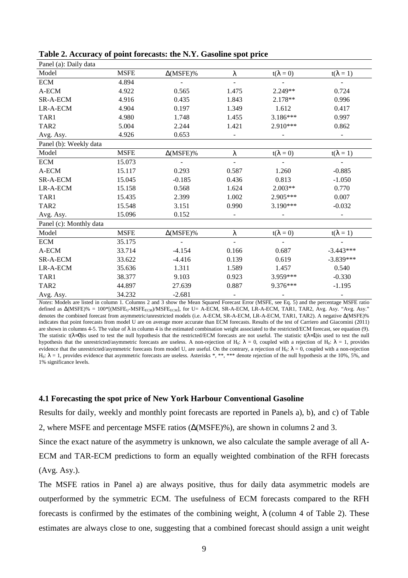| Panel (a): Daily data   |             |                  |       |                  |                  |
|-------------------------|-------------|------------------|-------|------------------|------------------|
| Model                   | <b>MSFE</b> | $\Delta(MSFE)\%$ | λ     | $t(\lambda = 0)$ | $t(\lambda = 1)$ |
| <b>ECM</b>              | 4.894       |                  |       |                  |                  |
| A-ECM                   | 4.922       | 0.565            | 1.475 | 2.249**          | 0.724            |
| SR-A-ECM                | 4.916       | 0.435            | 1.843 | 2.178**          | 0.996            |
| LR-A-ECM                | 4.904       | 0.197            | 1.349 | 1.612            | 0.417            |
| TAR1                    | 4.980       | 1.748            | 1.455 | 3.186***         | 0.997            |
| TAR <sub>2</sub>        | 5.004       | 2.244            | 1.421 | 2.910***         | 0.862            |
| Avg. Asy.               | 4.926       | 0.653            | -     |                  |                  |
| Panel (b): Weekly data  |             |                  |       |                  |                  |
| Model                   | <b>MSFE</b> | $\Delta(MSFE)\%$ | λ     | $t(\lambda = 0)$ | $t(\lambda = 1)$ |
| <b>ECM</b>              | 15.073      |                  |       |                  |                  |
| A-ECM                   | 15.117      | 0.293            | 0.587 | 1.260            | $-0.885$         |
| SR-A-ECM                | 15.045      | $-0.185$         | 0.436 | 0.813            | $-1.050$         |
| LR-A-ECM                | 15.158      | 0.568            | 1.624 | 2.003**          | 0.770            |
| TAR1                    | 15.435      | 2.399            | 1.002 | 2.905***         | 0.007            |
| TAR <sub>2</sub>        | 15.548      | 3.151            | 0.990 | 3.190***         | $-0.032$         |
| Avg. Asy.               | 15.096      | 0.152            |       |                  |                  |
| Panel (c): Monthly data |             |                  |       |                  |                  |
| Model                   | <b>MSFE</b> | $\Delta(MSFE)\%$ | λ     | $t(\lambda = 0)$ | $t(\lambda = 1)$ |
| <b>ECM</b>              | 35.175      |                  |       |                  |                  |
| A-ECM                   | 33.714      | $-4.154$         | 0.166 | 0.687            | $-3.443***$      |
| SR-A-ECM                | 33.622      | $-4.416$         | 0.139 | 0.619            | $-3.839***$      |
| LR-A-ECM                | 35.636      | 1.311            | 1.589 | 1.457            | 0.540            |
| TAR1                    | 38.377      | 9.103            | 0.923 | 3.959***         | $-0.330$         |
| TAR <sub>2</sub>        | 44.897      | 27.639           | 0.887 | 9.376***         | $-1.195$         |
| Avg. Asy.               | 34.232      | $-2.681$         |       |                  |                  |

|  |  | Table 2. Accuracy of point forecasts: the N.Y. Gasoline spot price |
|--|--|--------------------------------------------------------------------|
|--|--|--------------------------------------------------------------------|

*Notes*: Models are listed in column 1. Columns 2 and 3 show the Mean Squared Forecast Error (MSFE, see Eq. 5) and the percentage MSFE ratio defined as  $\Delta(MSFE)$ % = 100\*[(MSFE<sub>U</sub>-MSFE<sub>ECM</sub>)/MSFE<sub>ECM</sub>], for U= A-ECM, SR-A-ECM, LR-A-ECM, TAR1, TAR2, Avg. Asy. "Avg. Asy." denotes the combined forecast from asymmetric/unrestricted models (i.e. A-ECM, SR-A-ECM, LR-A-ECM, TAR1, TAR2). A negative ∆(MSFE)% indicates that point forecasts from model U are on average more accurate than ECM forecasts. Results of the test of Carriero and Giacomini (2011) are shown in columns 4-5. The value of  $\lambda$  in column 4 is the estimated combination weight associated to the restricted/ECM forecast, see equation (9). The statistic t( $\lambda$ =0)is used to test the null hypothesis that the restricted/ECM forecasts are not useful. The statistic t( $\lambda$ =1)is used to test the null hypothesis that the unrestricted/asymmetric forecasts are useless. A non-rejection of H<sub>0</sub>:  $\lambda = 0$ , coupled with a rejection of H<sub>0</sub>:  $\lambda = 1$ , provides evidence that the unrestricted/asymmetric forecasts from model U, are useful. On the contrary, a rejection of H<sub>0</sub>:  $\lambda = 0$ , coupled with a non-rejection H<sub>0</sub>:  $\lambda = 1$ , provides evidence that asymmetric forecasts are useless. Asterisks \*, \*\*, \*\*\* denote rejection of the null hypothesis at the 10%, 5%, and 1% significance levels.

#### **4.1 Forecasting the spot price of New York Harbour Conventional Gasoline**

Results for daily, weekly and monthly point forecasts are reported in Panels a), b), and c) of Table 2, where MSFE and percentage MSFE ratios (∆(MSFE)%), are shown in columns 2 and 3.

Since the exact nature of the asymmetry is unknown, we also calculate the sample average of all A-ECM and TAR-ECM predictions to form an equally weighted combination of the RFH forecasts (Avg. Asy.).

The MSFE ratios in Panel a) are always positive, thus for daily data asymmetric models are outperformed by the symmetric ECM. The usefulness of ECM forecasts compared to the RFH forecasts is confirmed by the estimates of the combining weight,  $\lambda$  (column 4 of Table 2). These estimates are always close to one, suggesting that a combined forecast should assign a unit weight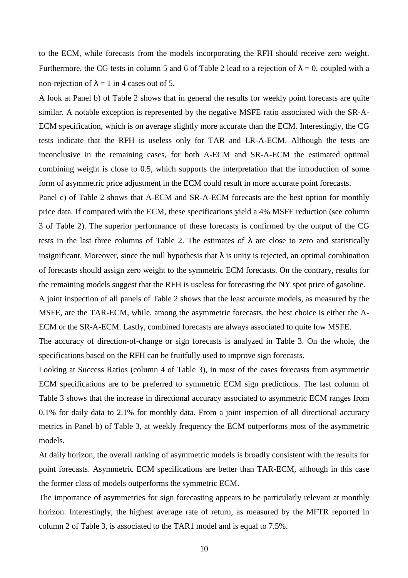to the ECM, while forecasts from the models incorporating the RFH should receive zero weight. Furthermore, the CG tests in column 5 and 6 of Table 2 lead to a rejection of  $\lambda = 0$ , coupled with a non-rejection of  $\lambda = 1$  in 4 cases out of 5.

A look at Panel b) of Table 2 shows that in general the results for weekly point forecasts are quite similar. A notable exception is represented by the negative MSFE ratio associated with the SR-A-ECM specification, which is on average slightly more accurate than the ECM. Interestingly, the CG tests indicate that the RFH is useless only for TAR and LR-A-ECM. Although the tests are inconclusive in the remaining cases, for both A-ECM and SR-A-ECM the estimated optimal combining weight is close to 0.5, which supports the interpretation that the introduction of some form of asymmetric price adjustment in the ECM could result in more accurate point forecasts.

Panel c) of Table 2 shows that A-ECM and SR-A-ECM forecasts are the best option for monthly price data. If compared with the ECM, these specifications yield a 4% MSFE reduction (see column 3 of Table 2). The superior performance of these forecasts is confirmed by the output of the CG tests in the last three columns of Table 2. The estimates of  $\lambda$  are close to zero and statistically insignificant. Moreover, since the null hypothesis that  $\lambda$  is unity is rejected, an optimal combination of forecasts should assign zero weight to the symmetric ECM forecasts. On the contrary, results for the remaining models suggest that the RFH is useless for forecasting the NY spot price of gasoline.

A joint inspection of all panels of Table 2 shows that the least accurate models, as measured by the MSFE, are the TAR-ECM, while, among the asymmetric forecasts, the best choice is either the A-ECM or the SR-A-ECM. Lastly, combined forecasts are always associated to quite low MSFE.

The accuracy of direction-of-change or sign forecasts is analyzed in Table 3. On the whole, the specifications based on the RFH can be fruitfully used to improve sign forecasts.

Looking at Success Ratios (column 4 of Table 3), in most of the cases forecasts from asymmetric ECM specifications are to be preferred to symmetric ECM sign predictions. The last column of Table 3 shows that the increase in directional accuracy associated to asymmetric ECM ranges from 0.1% for daily data to 2.1% for monthly data. From a joint inspection of all directional accuracy metrics in Panel b) of Table 3, at weekly frequency the ECM outperforms most of the asymmetric models.

At daily horizon, the overall ranking of asymmetric models is broadly consistent with the results for point forecasts. Asymmetric ECM specifications are better than TAR-ECM, although in this case the former class of models outperforms the symmetric ECM.

The importance of asymmetries for sign forecasting appears to be particularly relevant at monthly horizon. Interestingly, the highest average rate of return, as measured by the MFTR reported in column 2 of Table 3, is associated to the TAR1 model and is equal to 7.5%.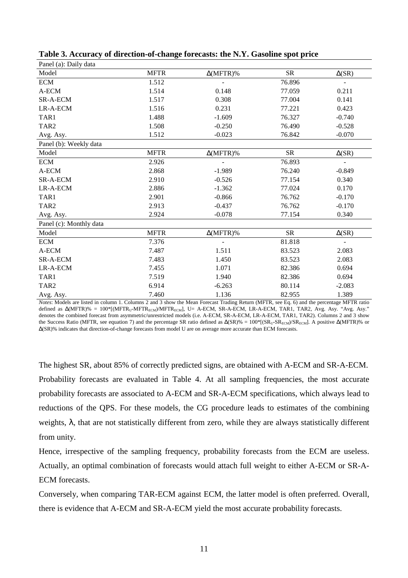| Panel (a): Daily data   |             |                  |            |                          |
|-------------------------|-------------|------------------|------------|--------------------------|
| Model                   | <b>MFTR</b> | $\Delta(MFTP)$ % | <b>SR</b>  | $\Delta(SR)$             |
| <b>ECM</b>              | 1.512       |                  | 76.896     |                          |
| A-ECM                   | 1.514       | 0.148            | 77.059     | 0.211                    |
| SR-A-ECM                | 1.517       | 0.308            | 77.004     | 0.141                    |
| LR-A-ECM                | 1.516       | 0.231            | 77.221     | 0.423                    |
| TAR1                    | 1.488       | $-1.609$         | 76.327     | $-0.740$                 |
| TAR <sub>2</sub>        | 1.508       | $-0.250$         | 76.490     | $-0.528$                 |
| Avg. Asy.               | 1.512       | $-0.023$         | 76.842     | $-0.070$                 |
| Panel (b): Weekly data  |             |                  |            |                          |
| Model                   | <b>MFTR</b> | $\Delta(MFTR)\%$ | ${\rm SR}$ | $\Delta(SR)$             |
| <b>ECM</b>              | 2.926       |                  | 76.893     | $\overline{\phantom{0}}$ |
| A-ECM                   | 2.868       | $-1.989$         | 76.240     | $-0.849$                 |
| SR-A-ECM                | 2.910       | $-0.526$         | 77.154     | 0.340                    |
| LR-A-ECM                | 2.886       | $-1.362$         | 77.024     | 0.170                    |
| TAR1                    | 2.901       | $-0.866$         | 76.762     | $-0.170$                 |
| TAR <sub>2</sub>        | 2.913       | $-0.437$         | 76.762     | $-0.170$                 |
| Avg. Asy.               | 2.924       | $-0.078$         | 77.154     | 0.340                    |
| Panel (c): Monthly data |             |                  |            |                          |
| Model                   | <b>MFTR</b> | $\Delta(MFTR)\%$ | ${\rm SR}$ | $\Delta(SR)$             |
| <b>ECM</b>              | 7.376       |                  | 81.818     |                          |
| A-ECM                   | 7.487       | 1.511            | 83.523     | 2.083                    |
| SR-A-ECM                | 7.483       | 1.450            | 83.523     | 2.083                    |
| LR-A-ECM                | 7.455       | 1.071            | 82.386     | 0.694                    |
| TAR1                    | 7.519       | 1.940            | 82.386     | 0.694                    |
| TAR <sub>2</sub>        | 6.914       | $-6.263$         | 80.114     | $-2.083$                 |
| Avg. Asy.               | 7.460       | 1.136            | 82.955     | 1.389                    |

**Table 3. Accuracy of direction-of-change forecasts: the N.Y. Gasoline spot price** 

*Notes*: Models are listed in column 1. Columns 2 and 3 show the Mean Forecast Trading Return (MFTR, see Eq. 6) and the percentage MFTR ratio defined as  $\Delta$ (MFTR)% = 100\*[(MFTR<sub>U</sub>-MFTR<sub>ECM</sub>)/MFTR<sub>ECM</sub>], U= A-ECM, SR-A-ECM, LR-A-ECM, TAR1, TAR2, Avg. Asy. "Avg. Asy." denotes the combined forecast from asymmetric/unrestricted models (i.e. A-ECM, SR-A-ECM, LR-A-ECM, TAR1, TAR2). Columns 2 and 3 show the Success Ratio (MFTR, see equation 7) and the percentage SR ratio defined as  $\Delta(SR)\% = 100 * [(SR_U-SR_{ECM})/SR_{ECM}]$ . A positive  $\Delta(MFTR)\%$  or ∆(SR)% indicates that direction-of-change forecasts from model U are on average more accurate than ECM forecasts.

The highest SR, about 85% of correctly predicted signs, are obtained with A-ECM and SR-A-ECM. Probability forecasts are evaluated in Table 4. At all sampling frequencies, the most accurate probability forecasts are associated to A-ECM and SR-A-ECM specifications, which always lead to reductions of the QPS. For these models, the CG procedure leads to estimates of the combining weights, λ, that are not statistically different from zero, while they are always statistically different from unity.

Hence, irrespective of the sampling frequency, probability forecasts from the ECM are useless. Actually, an optimal combination of forecasts would attach full weight to either A-ECM or SR-A-ECM forecasts.

Conversely, when comparing TAR-ECM against ECM, the latter model is often preferred. Overall, there is evidence that A-ECM and SR-A-ECM yield the most accurate probability forecasts.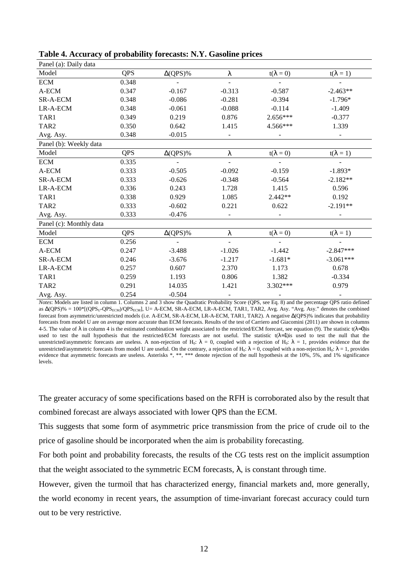| Panel (a): Daily data   |            |                 |          |                  |                  |
|-------------------------|------------|-----------------|----------|------------------|------------------|
| Model                   | <b>QPS</b> | $\Delta(QPS)\%$ | λ        | $t(\lambda = 0)$ | $t(\lambda = 1)$ |
| <b>ECM</b>              | 0.348      |                 |          |                  |                  |
| A-ECM                   | 0.347      | $-0.167$        | $-0.313$ | $-0.587$         | $-2.463**$       |
| SR-A-ECM                | 0.348      | $-0.086$        | $-0.281$ | $-0.394$         | $-1.796*$        |
| LR-A-ECM                | 0.348      | $-0.061$        | $-0.088$ | $-0.114$         | $-1.409$         |
| TAR1                    | 0.349      | 0.219           | 0.876    | $2.656***$       | $-0.377$         |
| TAR <sub>2</sub>        | 0.350      | 0.642           | 1.415    | 4.566***         | 1.339            |
| Avg. Asy.               | 0.348      | $-0.015$        |          |                  |                  |
| Panel (b): Weekly data  |            |                 |          |                  |                  |
| Model                   | <b>QPS</b> | $\Delta(QPS)\%$ | λ        | $t(\lambda = 0)$ | $t(\lambda = 1)$ |
| <b>ECM</b>              | 0.335      |                 |          |                  |                  |
| A-ECM                   | 0.333      | $-0.505$        | $-0.092$ | $-0.159$         | $-1.893*$        |
| SR-A-ECM                | 0.333      | $-0.626$        | $-0.348$ | $-0.564$         | $-2.182**$       |
| LR-A-ECM                | 0.336      | 0.243           | 1.728    | 1.415            | 0.596            |
| TAR1                    | 0.338      | 0.929           | 1.085    | 2.442**          | 0.192            |
| TAR <sub>2</sub>        | 0.333      | $-0.602$        | 0.221    | 0.622            | $-2.191**$       |
| Avg. Asy.               | 0.333      | $-0.476$        |          |                  |                  |
| Panel (c): Monthly data |            |                 |          |                  |                  |
| Model                   | <b>QPS</b> | $\Delta(QPS)\%$ | λ        | $t(\lambda = 0)$ | $t(\lambda = 1)$ |
| <b>ECM</b>              | 0.256      |                 |          |                  |                  |
| A-ECM                   | 0.247      | $-3.488$        | $-1.026$ | $-1.442$         | $-2.847***$      |
| SR-A-ECM                | 0.246      | $-3.676$        | $-1.217$ | $-1.681*$        | $-3.061***$      |
| LR-A-ECM                | 0.257      | 0.607           | 2.370    | 1.173            | 0.678            |
| TAR1                    | 0.259      | 1.193           | 0.806    | 1.382            | $-0.334$         |
| TAR <sub>2</sub>        | 0.291      | 14.035          | 1.421    | 3.302***         | 0.979            |
| Avg. Asy.               | 0.254      | $-0.504$        |          |                  |                  |

**Table 4. Accuracy of probability forecasts: N.Y. Gasoline prices** 

*Notes*: Models are listed in column 1. Columns 2 and 3 show the Quadratic Probability Score (QPS, see Eq. 8) and the percentage QPS ratio defined as  $\Delta(QPS)$ % = 100\*[ $(QPS_U-QPS_{ECM})/QPS_{ECM}$ ], U= A-ECM, SR-A-ECM, LR-A-ECM, TAR1, TAR2, Avg. Asy. "Avg. Asy." denotes the combined forecast from asymmetric/unrestricted models (i.e. A-ECM, SR-A-ECM, LR-A-ECM, TAR1, TAR2). A negative ∆(QPS)% indicates that probability forecasts from model U are on average more accurate than ECM forecasts. Results of the test of Carriero and Giacomini (2011) are shown in columns 4-5. The value of  $\lambda$  in column 4 is the estimated combination weight associated to the restricted/ECM forecast, see equation (9). The statistic t( $\lambda$ =0)is used to test the null hypothesis that the restricted/ECM forecasts are not useful. The statistic  $t(\lambda=1)$  used to test the null that the unrestricted/asymmetric forecasts are useless. A non-rejection of H<sub>0</sub>:  $\lambda = 0$ , coupled with a rejection of H<sub>0</sub>:  $\lambda = 1$ , provides evidence that the unrestricted/asymmetric forecasts from model U are useful. On the contrary, a rejection of H<sub>0</sub>:  $\lambda = 0$ , coupled with a non-rejection H<sub>0</sub>:  $\lambda = 1$ , provides evidence that asymmetric forecasts are useless. Asterisks \*, \*\*\* denote rejection of the null hypothesis at the 10%, 5%, and 1% significance levels.

The greater accuracy of some specifications based on the RFH is corroborated also by the result that combined forecast are always associated with lower QPS than the ECM.

This suggests that some form of asymmetric price transmission from the price of crude oil to the price of gasoline should be incorporated when the aim is probability forecasting.

For both point and probability forecasts, the results of the CG tests rest on the implicit assumption that the weight associated to the symmetric ECM forecasts,  $\lambda$ , is constant through time.

However, given the turmoil that has characterized energy, financial markets and, more generally, the world economy in recent years, the assumption of time-invariant forecast accuracy could turn out to be very restrictive.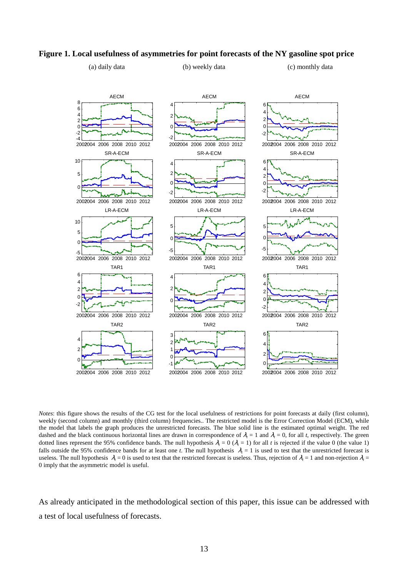

#### **Figure 1. Local usefulness of asymmetries for point forecasts of the NY gasoline spot price**

*Notes*: this figure shows the results of the CG test for the local usefulness of restrictions for point forecasts at daily (first column), weekly (second column) and monthly (third column) frequencies.. The restricted model is the Error Correction Model (ECM), while the model that labels the graph produces the unrestricted forecasts. The blue solid line is the estimated optimal weight. The red dashed and the black continuous horizontal lines are drawn in correspondence of  $\lambda_t = 1$  and  $\lambda_t = 0$ , for all *t*, respectively. The green dotted lines represent the 95% confidence bands. The null hypothesis  $\lambda_t = 0$  ( $\lambda_t = 1$ ) for all *t* is rejected if the value 0 (the value 1) falls outside the 95% confidence bands for at least one *t*. The null hypothesis  $\lambda_t = 1$  is used to test that the unrestricted forecast is useless. The null hypothesis  $\lambda_t = 0$  is used to test that the restricted forecast is useless. Thus, rejection of  $\lambda_t = 1$  and non-rejection  $\lambda_t =$ 0 imply that the asymmetric model is useful.

As already anticipated in the methodological section of this paper, this issue can be addressed with a test of local usefulness of forecasts.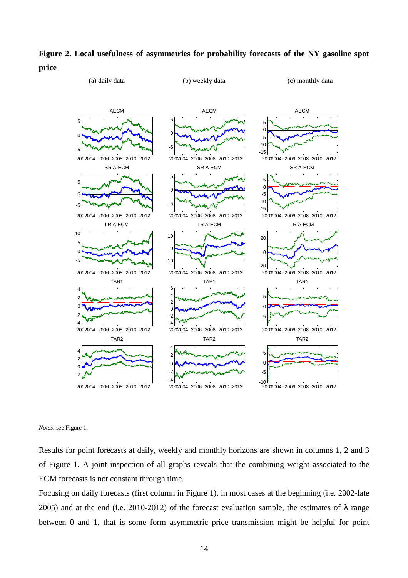## **Figure 2. Local usefulness of asymmetries for probability forecasts of the NY gasoline spot price**



*Notes*: see Figure 1.

Results for point forecasts at daily, weekly and monthly horizons are shown in columns 1, 2 and 3 of Figure 1. A joint inspection of all graphs reveals that the combining weight associated to the ECM forecasts is not constant through time.

Focusing on daily forecasts (first column in Figure 1), in most cases at the beginning (i.e. 2002-late 2005) and at the end (i.e. 2010-2012) of the forecast evaluation sample, the estimates of  $\lambda$  range between 0 and 1, that is some form asymmetric price transmission might be helpful for point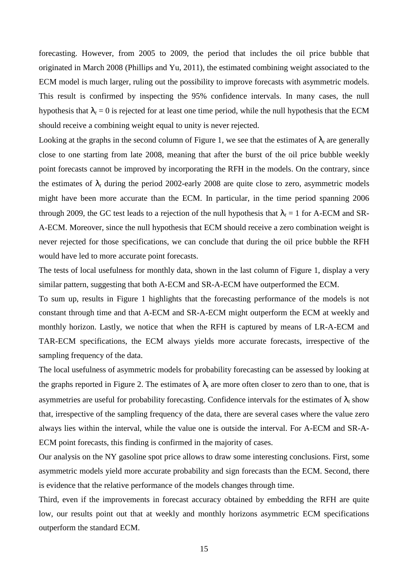forecasting. However, from 2005 to 2009, the period that includes the oil price bubble that originated in March 2008 (Phillips and Yu, 2011), the estimated combining weight associated to the ECM model is much larger, ruling out the possibility to improve forecasts with asymmetric models. This result is confirmed by inspecting the 95% confidence intervals. In many cases, the null hypothesis that  $\lambda_t = 0$  is rejected for at least one time period, while the null hypothesis that the ECM should receive a combining weight equal to unity is never rejected.

Looking at the graphs in the second column of Figure 1, we see that the estimates of  $\lambda_t$  are generally close to one starting from late 2008, meaning that after the burst of the oil price bubble weekly point forecasts cannot be improved by incorporating the RFH in the models. On the contrary, since the estimates of  $\lambda_t$  during the period 2002-early 2008 are quite close to zero, asymmetric models might have been more accurate than the ECM. In particular, in the time period spanning 2006 through 2009, the GC test leads to a rejection of the null hypothesis that  $\lambda_t = 1$  for A-ECM and SR-A-ECM. Moreover, since the null hypothesis that ECM should receive a zero combination weight is never rejected for those specifications, we can conclude that during the oil price bubble the RFH would have led to more accurate point forecasts.

The tests of local usefulness for monthly data, shown in the last column of Figure 1, display a very similar pattern, suggesting that both A-ECM and SR-A-ECM have outperformed the ECM.

To sum up, results in Figure 1 highlights that the forecasting performance of the models is not constant through time and that A-ECM and SR-A-ECM might outperform the ECM at weekly and monthly horizon. Lastly, we notice that when the RFH is captured by means of LR-A-ECM and TAR-ECM specifications, the ECM always yields more accurate forecasts, irrespective of the sampling frequency of the data.

The local usefulness of asymmetric models for probability forecasting can be assessed by looking at the graphs reported in Figure 2. The estimates of  $\lambda_t$  are more often closer to zero than to one, that is asymmetries are useful for probability forecasting. Confidence intervals for the estimates of  $\lambda_t$  show that, irrespective of the sampling frequency of the data, there are several cases where the value zero always lies within the interval, while the value one is outside the interval. For A-ECM and SR-A-ECM point forecasts, this finding is confirmed in the majority of cases.

Our analysis on the NY gasoline spot price allows to draw some interesting conclusions. First, some asymmetric models yield more accurate probability and sign forecasts than the ECM. Second, there is evidence that the relative performance of the models changes through time.

Third, even if the improvements in forecast accuracy obtained by embedding the RFH are quite low, our results point out that at weekly and monthly horizons asymmetric ECM specifications outperform the standard ECM.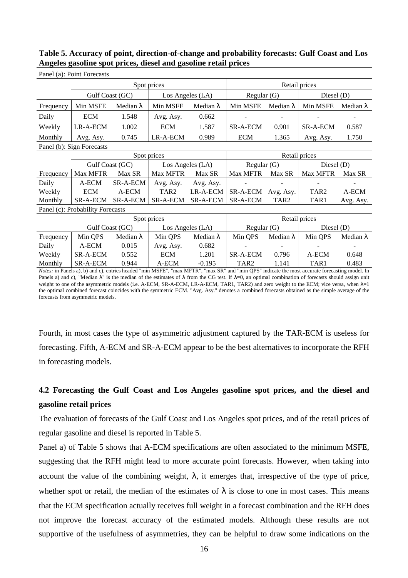#### **Table 5. Accuracy of point, direction-of-change and probability forecasts: Gulf Coast and Los Angeles gasoline spot prices, diesel and gasoline retail prices**

|           | $1$ and $(n)$ . I only I orderable |                  |                    |                              |                 |                  |            |                  |  |  |  |
|-----------|------------------------------------|------------------|--------------------|------------------------------|-----------------|------------------|------------|------------------|--|--|--|
|           |                                    |                  | Spot prices        | Retail prices                |                 |                  |            |                  |  |  |  |
|           | Gulf Coast (GC)                    |                  | Los Angeles $(LA)$ |                              | Regular(G)      |                  | Diesel (D) |                  |  |  |  |
| Frequency | Min MSFE                           | Median $\lambda$ | Min MSFE           | Min MSFE<br>Median $\lambda$ |                 | Median $\lambda$ | Min MSFE   | Median $\lambda$ |  |  |  |
| Daily     | <b>ECM</b>                         | 1.548            | Avg. Asy.          | 0.662                        |                 | $\sim$           |            |                  |  |  |  |
| Weekly    | LR-A-ECM                           | 1.002            | <b>ECM</b>         | 1.587                        | <b>SR-A-ECM</b> | 0.901            | SR-A-ECM   | 0.587            |  |  |  |
| Monthly   | Avg. Asy.                          | 0.745            | LR-A-ECM           | 0.989                        |                 | 1.365            | Avg. Asy.  | 1.750            |  |  |  |
|           | Panel (b): Sign Forecasts          |                  |                    |                              |                 |                  |            |                  |  |  |  |
|           |                                    |                  | Spot prices        | Retail prices                |                 |                  |            |                  |  |  |  |
|           |                                    |                  |                    |                              |                 |                  |            |                  |  |  |  |

Panel (a): Point Forecasts

|               | Panel (b): Sign Forecasts |                 |                                       |                  |                                        |                  |                  |           |  |  |
|---------------|---------------------------|-----------------|---------------------------------------|------------------|----------------------------------------|------------------|------------------|-----------|--|--|
|               |                           |                 | Spot prices                           |                  | Retail prices                          |                  |                  |           |  |  |
|               |                           | Gulf Coast (GC) |                                       | Los Angeles (LA) | Regular(G)                             |                  | Diesel $(D)$     |           |  |  |
| Frequency     | <b>Max MFTR</b>           | Max SR          | <b>Max MFTR</b>                       | Max SR           | <b>Max MFTR</b>                        | Max SR           | <b>Max MFTR</b>  | Max SR    |  |  |
| Daily         | A-ECM                     | SR-A-ECM        | Avg. Asy.                             | Avg. Asy.        |                                        |                  |                  |           |  |  |
| Weekly        | <b>ECM</b>                | A-ECM           | TAR <sub>2</sub>                      | LR-A-ECM         | $\overline{\text{SR-A-ECM}}$ Avg. Asy. |                  | TAR <sub>2</sub> | A-ECM     |  |  |
| Monthly       | SR-A-ECM                  | SR-A-ECM        | $\overline{\text{SR-A-ECM}}$ SR-A-ECM |                  | SR-A-ECM                               | TAR <sub>2</sub> | TAR1             | Avg. Asy. |  |  |
| _ _ _ _ _ _ _ |                           |                 |                                       |                  |                                        |                  |                  |           |  |  |

Panel (c): Probability Forecasts

|           |                 |                  | Spot prices      | Retail prices    |                          |                  |                  |                  |  |
|-----------|-----------------|------------------|------------------|------------------|--------------------------|------------------|------------------|------------------|--|
|           | Gulf Coast (GC) |                  | Los Angeles (LA) |                  | Regular(G)               |                  |                  | Diesel $(D)$     |  |
| Frequency | Min OPS         | Median $\lambda$ | Min OPS          | Median $\lambda$ | Min QPS                  | Median $\lambda$ | Min OPS          | Median $\lambda$ |  |
| Daily     | A-ECM           | 0.015            | Avg. Asy.        | 0.682            | $\overline{\phantom{0}}$ | -                |                  |                  |  |
| Weekly    | SR-A-ECM        | 0.552            | <b>ECM</b>       | 1.201            | SR-A-ECM                 | 0.796            | A-ECM            | 0.648            |  |
| Monthly   | SR-A-ECM        | 0.944            | A-ECM            | $-0.195$         | TAR <sub>2</sub>         | 1.141            | TAR <sub>1</sub> | 0.483            |  |

*Notes:* in Panels a), b) and c), entries headed "min MSFE", "max MFTR", "max SR" and "min QPS" indicate the most accurate forecasting model. In Panels a) and c), "Median  $\lambda$ " is the median of the estimates of  $\lambda$  from the CG test. If  $\lambda=0$ , an optimal combination of forecasts should assign unit weight to one of the asymmetric models (i.e. A-ECM, SR-A-ECM, LR-A-ECM, TAR1, TAR2) and zero weight to the ECM; vice versa, when  $\lambda=1$ the optimal combined forecast coincides with the symmetric ECM. "Avg. Asy." denotes a combined forecasts obtained as the simple average of the forecasts from asymmetric models.

Fourth, in most cases the type of asymmetric adjustment captured by the TAR-ECM is useless for forecasting. Fifth, A-ECM and SR-A-ECM appear to be the best alternatives to incorporate the RFH in forecasting models.

## **4.2 Forecasting the Gulf Coast and Los Angeles gasoline spot prices, and the diesel and gasoline retail prices**

The evaluation of forecasts of the Gulf Coast and Los Angeles spot prices, and of the retail prices of regular gasoline and diesel is reported in Table 5.

Panel a) of Table 5 shows that A-ECM specifications are often associated to the minimum MSFE, suggesting that the RFH might lead to more accurate point forecasts. However, when taking into account the value of the combining weight,  $\lambda$ , it emerges that, irrespective of the type of price, whether spot or retail, the median of the estimates of  $\lambda$  is close to one in most cases. This means that the ECM specification actually receives full weight in a forecast combination and the RFH does not improve the forecast accuracy of the estimated models. Although these results are not supportive of the usefulness of asymmetries, they can be helpful to draw some indications on the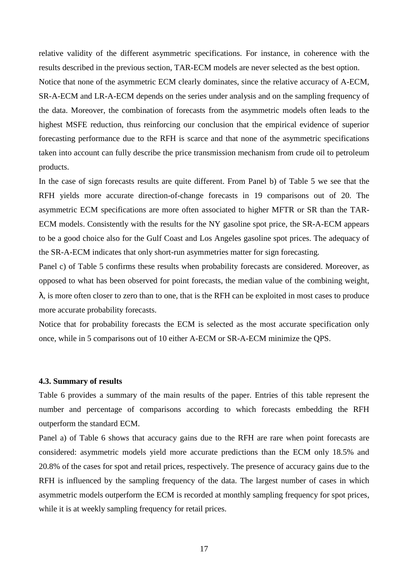relative validity of the different asymmetric specifications. For instance, in coherence with the results described in the previous section, TAR-ECM models are never selected as the best option. Notice that none of the asymmetric ECM clearly dominates, since the relative accuracy of A-ECM, SR-A-ECM and LR-A-ECM depends on the series under analysis and on the sampling frequency of the data. Moreover, the combination of forecasts from the asymmetric models often leads to the highest MSFE reduction, thus reinforcing our conclusion that the empirical evidence of superior forecasting performance due to the RFH is scarce and that none of the asymmetric specifications taken into account can fully describe the price transmission mechanism from crude oil to petroleum products.

In the case of sign forecasts results are quite different. From Panel b) of Table 5 we see that the RFH yields more accurate direction-of-change forecasts in 19 comparisons out of 20. The asymmetric ECM specifications are more often associated to higher MFTR or SR than the TAR-ECM models. Consistently with the results for the NY gasoline spot price, the SR-A-ECM appears to be a good choice also for the Gulf Coast and Los Angeles gasoline spot prices. The adequacy of the SR-A-ECM indicates that only short-run asymmetries matter for sign forecasting.

Panel c) of Table 5 confirms these results when probability forecasts are considered. Moreover, as opposed to what has been observed for point forecasts, the median value of the combining weight,  $\lambda$ , is more often closer to zero than to one, that is the RFH can be exploited in most cases to produce more accurate probability forecasts.

Notice that for probability forecasts the ECM is selected as the most accurate specification only once, while in 5 comparisons out of 10 either A-ECM or SR-A-ECM minimize the QPS.

#### **4.3. Summary of results**

Table 6 provides a summary of the main results of the paper. Entries of this table represent the number and percentage of comparisons according to which forecasts embedding the RFH outperform the standard ECM.

Panel a) of Table 6 shows that accuracy gains due to the RFH are rare when point forecasts are considered: asymmetric models yield more accurate predictions than the ECM only 18.5% and 20.8% of the cases for spot and retail prices, respectively. The presence of accuracy gains due to the RFH is influenced by the sampling frequency of the data. The largest number of cases in which asymmetric models outperform the ECM is recorded at monthly sampling frequency for spot prices, while it is at weekly sampling frequency for retail prices.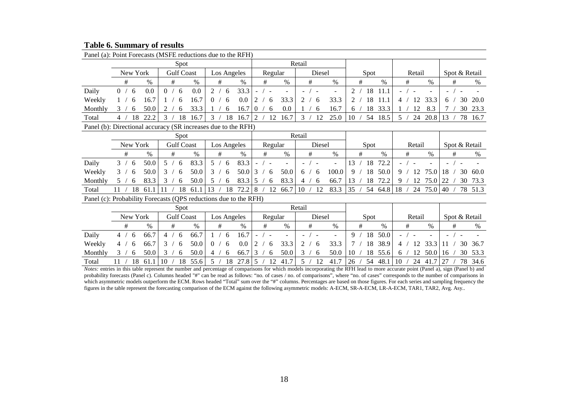**Table 6. Summary of results** 

| Retail<br>Spot<br>New York<br><b>Gulf Coast</b><br>Diesel<br>Los Angeles<br>Regular<br>Spot<br>Spot & Retail<br>Retail<br>#<br>#<br>#<br>#<br>$\%$<br>#<br>#<br>$\frac{0}{0}$<br>$\%$<br>#<br>$\%$<br>#<br>$\%$<br>$\%$<br>$\%$<br>$\%$<br>33.3<br>0.0<br>$\overline{2}$<br>18<br>Daily<br>0.0<br>6<br>$\overline{2}$<br>11.1<br>6<br>6<br>$\Omega$<br>0<br>۰<br>33.3<br>33.3<br>18<br>Weekly<br>16.7<br>16.7<br>0.0<br>2<br>33.3<br>20.0<br>0<br>6<br>2<br>2<br>11.1<br>30<br>6<br>6<br>6<br>6<br>6<br>33.3<br>18<br>50.0<br>16.7<br>0.0<br>16.7<br>33.3<br>8.3<br>$\overline{0}$<br>30<br>23.3<br>Monthly<br>$\mathfrak{D}$<br>6<br>6<br>6<br>6<br>2<br>3<br>6<br>6<br>18<br>3<br>18<br>2<br>12<br>3<br>25.0<br>10<br>18.5<br>20.8<br>18<br>22.2<br>3<br>16.7<br>16.7<br>16.7<br>12<br>54<br>13<br>78<br>Total<br>$\mathcal{F}$<br>24<br>16.7<br>4<br>Panel (b): Directional accuracy (SR increases due to the RFH)<br>Retail<br>Spot<br>New York<br>Diesel<br><b>Gulf Coast</b><br>Los Angeles<br>Spot<br>Spot & Retail<br>Regular<br>Retail<br>#<br>$\%$<br>#<br>#<br>#<br>$\%$<br>#<br>$\%$<br>#<br>$\%$<br>$\%$<br>$\%$<br>#<br>$\%$<br>#<br>$\%$<br>83.3<br>83.3<br>5/<br>13<br>18<br>72.2<br>Daily<br>3<br>50.0<br>5<br>6<br>6<br>$\sqrt{2}$<br>6<br>$\overline{\phantom{a}}$<br>÷<br>50.0<br>50.0<br>50.0<br>3<br>50.0<br>100.0<br>18<br>50.0<br>3<br>$\mathcal{E}$<br>9<br>75.0<br>18<br>Weekly<br>6<br>30<br>60.0<br>6<br>-6<br>6<br>6<br>9.<br>3 <sub>1</sub><br>6<br>50.0<br>83.3<br>83.3<br>18<br>83.3<br>5<br>66.7<br>13<br>72.2<br>30<br>3<br>5<br>6<br>9<br>2<br>75.0<br>22<br>Monthly<br>5.<br>6<br>6<br>4<br>6<br>73.3<br>6<br>18<br>13<br>18<br>8<br>12<br>83.3<br>35<br>18<br>61.1<br>72.2<br>66.7<br>10<br>12<br>54<br>64.8<br>18<br>40<br>78<br>Total<br>-11<br>24<br>75.0<br>51.3<br>61.1<br>Panel (c): Probability Forecasts (QPS reductions due to the RFH)<br>Retail<br>Spot<br>New York<br><b>Gulf Coast</b><br>Diesel<br>Regular<br>Spot<br>Retail<br>Spot & Retail<br>Los Angeles<br>#<br>#<br>#<br>$\%$<br>#<br>#<br>#<br>$\%$<br>$\%$<br>#<br>$\%$<br>$\%$<br>$\%$<br>$\%$<br>#<br>$\%$<br>18<br>Daily<br>66.7<br>16.7<br>9<br>50.0<br>66.7<br>6<br>6<br>$4 \quad$<br>$\mathbf{1}$<br>6<br>4<br>/ –<br>۰<br>33.3<br>50.0<br>$0.0\,$<br>2<br>33.3<br>18<br>38.9<br>33.3<br>Weekly<br>66.7<br>3<br>$7^{\circ}$<br>2<br>36.7<br>6<br>$\Omega$<br>6<br>6<br>$\overline{2}$<br>30<br>6<br>4<br>11<br>4/<br>6 | Panel (a): Point Forecasts (MSFE reductions due to the RFH) |  |  |  |  |  |  |  |  |  |  |  |  |
|-----------------------------------------------------------------------------------------------------------------------------------------------------------------------------------------------------------------------------------------------------------------------------------------------------------------------------------------------------------------------------------------------------------------------------------------------------------------------------------------------------------------------------------------------------------------------------------------------------------------------------------------------------------------------------------------------------------------------------------------------------------------------------------------------------------------------------------------------------------------------------------------------------------------------------------------------------------------------------------------------------------------------------------------------------------------------------------------------------------------------------------------------------------------------------------------------------------------------------------------------------------------------------------------------------------------------------------------------------------------------------------------------------------------------------------------------------------------------------------------------------------------------------------------------------------------------------------------------------------------------------------------------------------------------------------------------------------------------------------------------------------------------------------------------------------------------------------------------------------------------------------------------------------------------------------------------------------------------------------------------------------------------------------------------------------------------------------------------------------------------------------------------------------------------------------------------------------------------------------------------------------------------------------------------------------------------------------------------------------------------------------------------------------------------------------------|-------------------------------------------------------------|--|--|--|--|--|--|--|--|--|--|--|--|
|                                                                                                                                                                                                                                                                                                                                                                                                                                                                                                                                                                                                                                                                                                                                                                                                                                                                                                                                                                                                                                                                                                                                                                                                                                                                                                                                                                                                                                                                                                                                                                                                                                                                                                                                                                                                                                                                                                                                                                                                                                                                                                                                                                                                                                                                                                                                                                                                                                         |                                                             |  |  |  |  |  |  |  |  |  |  |  |  |
|                                                                                                                                                                                                                                                                                                                                                                                                                                                                                                                                                                                                                                                                                                                                                                                                                                                                                                                                                                                                                                                                                                                                                                                                                                                                                                                                                                                                                                                                                                                                                                                                                                                                                                                                                                                                                                                                                                                                                                                                                                                                                                                                                                                                                                                                                                                                                                                                                                         |                                                             |  |  |  |  |  |  |  |  |  |  |  |  |
|                                                                                                                                                                                                                                                                                                                                                                                                                                                                                                                                                                                                                                                                                                                                                                                                                                                                                                                                                                                                                                                                                                                                                                                                                                                                                                                                                                                                                                                                                                                                                                                                                                                                                                                                                                                                                                                                                                                                                                                                                                                                                                                                                                                                                                                                                                                                                                                                                                         |                                                             |  |  |  |  |  |  |  |  |  |  |  |  |
|                                                                                                                                                                                                                                                                                                                                                                                                                                                                                                                                                                                                                                                                                                                                                                                                                                                                                                                                                                                                                                                                                                                                                                                                                                                                                                                                                                                                                                                                                                                                                                                                                                                                                                                                                                                                                                                                                                                                                                                                                                                                                                                                                                                                                                                                                                                                                                                                                                         |                                                             |  |  |  |  |  |  |  |  |  |  |  |  |
|                                                                                                                                                                                                                                                                                                                                                                                                                                                                                                                                                                                                                                                                                                                                                                                                                                                                                                                                                                                                                                                                                                                                                                                                                                                                                                                                                                                                                                                                                                                                                                                                                                                                                                                                                                                                                                                                                                                                                                                                                                                                                                                                                                                                                                                                                                                                                                                                                                         |                                                             |  |  |  |  |  |  |  |  |  |  |  |  |
|                                                                                                                                                                                                                                                                                                                                                                                                                                                                                                                                                                                                                                                                                                                                                                                                                                                                                                                                                                                                                                                                                                                                                                                                                                                                                                                                                                                                                                                                                                                                                                                                                                                                                                                                                                                                                                                                                                                                                                                                                                                                                                                                                                                                                                                                                                                                                                                                                                         |                                                             |  |  |  |  |  |  |  |  |  |  |  |  |
|                                                                                                                                                                                                                                                                                                                                                                                                                                                                                                                                                                                                                                                                                                                                                                                                                                                                                                                                                                                                                                                                                                                                                                                                                                                                                                                                                                                                                                                                                                                                                                                                                                                                                                                                                                                                                                                                                                                                                                                                                                                                                                                                                                                                                                                                                                                                                                                                                                         |                                                             |  |  |  |  |  |  |  |  |  |  |  |  |
|                                                                                                                                                                                                                                                                                                                                                                                                                                                                                                                                                                                                                                                                                                                                                                                                                                                                                                                                                                                                                                                                                                                                                                                                                                                                                                                                                                                                                                                                                                                                                                                                                                                                                                                                                                                                                                                                                                                                                                                                                                                                                                                                                                                                                                                                                                                                                                                                                                         |                                                             |  |  |  |  |  |  |  |  |  |  |  |  |
|                                                                                                                                                                                                                                                                                                                                                                                                                                                                                                                                                                                                                                                                                                                                                                                                                                                                                                                                                                                                                                                                                                                                                                                                                                                                                                                                                                                                                                                                                                                                                                                                                                                                                                                                                                                                                                                                                                                                                                                                                                                                                                                                                                                                                                                                                                                                                                                                                                         |                                                             |  |  |  |  |  |  |  |  |  |  |  |  |
|                                                                                                                                                                                                                                                                                                                                                                                                                                                                                                                                                                                                                                                                                                                                                                                                                                                                                                                                                                                                                                                                                                                                                                                                                                                                                                                                                                                                                                                                                                                                                                                                                                                                                                                                                                                                                                                                                                                                                                                                                                                                                                                                                                                                                                                                                                                                                                                                                                         |                                                             |  |  |  |  |  |  |  |  |  |  |  |  |
|                                                                                                                                                                                                                                                                                                                                                                                                                                                                                                                                                                                                                                                                                                                                                                                                                                                                                                                                                                                                                                                                                                                                                                                                                                                                                                                                                                                                                                                                                                                                                                                                                                                                                                                                                                                                                                                                                                                                                                                                                                                                                                                                                                                                                                                                                                                                                                                                                                         |                                                             |  |  |  |  |  |  |  |  |  |  |  |  |
|                                                                                                                                                                                                                                                                                                                                                                                                                                                                                                                                                                                                                                                                                                                                                                                                                                                                                                                                                                                                                                                                                                                                                                                                                                                                                                                                                                                                                                                                                                                                                                                                                                                                                                                                                                                                                                                                                                                                                                                                                                                                                                                                                                                                                                                                                                                                                                                                                                         |                                                             |  |  |  |  |  |  |  |  |  |  |  |  |
|                                                                                                                                                                                                                                                                                                                                                                                                                                                                                                                                                                                                                                                                                                                                                                                                                                                                                                                                                                                                                                                                                                                                                                                                                                                                                                                                                                                                                                                                                                                                                                                                                                                                                                                                                                                                                                                                                                                                                                                                                                                                                                                                                                                                                                                                                                                                                                                                                                         |                                                             |  |  |  |  |  |  |  |  |  |  |  |  |
|                                                                                                                                                                                                                                                                                                                                                                                                                                                                                                                                                                                                                                                                                                                                                                                                                                                                                                                                                                                                                                                                                                                                                                                                                                                                                                                                                                                                                                                                                                                                                                                                                                                                                                                                                                                                                                                                                                                                                                                                                                                                                                                                                                                                                                                                                                                                                                                                                                         |                                                             |  |  |  |  |  |  |  |  |  |  |  |  |
|                                                                                                                                                                                                                                                                                                                                                                                                                                                                                                                                                                                                                                                                                                                                                                                                                                                                                                                                                                                                                                                                                                                                                                                                                                                                                                                                                                                                                                                                                                                                                                                                                                                                                                                                                                                                                                                                                                                                                                                                                                                                                                                                                                                                                                                                                                                                                                                                                                         |                                                             |  |  |  |  |  |  |  |  |  |  |  |  |
|                                                                                                                                                                                                                                                                                                                                                                                                                                                                                                                                                                                                                                                                                                                                                                                                                                                                                                                                                                                                                                                                                                                                                                                                                                                                                                                                                                                                                                                                                                                                                                                                                                                                                                                                                                                                                                                                                                                                                                                                                                                                                                                                                                                                                                                                                                                                                                                                                                         |                                                             |  |  |  |  |  |  |  |  |  |  |  |  |
|                                                                                                                                                                                                                                                                                                                                                                                                                                                                                                                                                                                                                                                                                                                                                                                                                                                                                                                                                                                                                                                                                                                                                                                                                                                                                                                                                                                                                                                                                                                                                                                                                                                                                                                                                                                                                                                                                                                                                                                                                                                                                                                                                                                                                                                                                                                                                                                                                                         |                                                             |  |  |  |  |  |  |  |  |  |  |  |  |
|                                                                                                                                                                                                                                                                                                                                                                                                                                                                                                                                                                                                                                                                                                                                                                                                                                                                                                                                                                                                                                                                                                                                                                                                                                                                                                                                                                                                                                                                                                                                                                                                                                                                                                                                                                                                                                                                                                                                                                                                                                                                                                                                                                                                                                                                                                                                                                                                                                         |                                                             |  |  |  |  |  |  |  |  |  |  |  |  |
|                                                                                                                                                                                                                                                                                                                                                                                                                                                                                                                                                                                                                                                                                                                                                                                                                                                                                                                                                                                                                                                                                                                                                                                                                                                                                                                                                                                                                                                                                                                                                                                                                                                                                                                                                                                                                                                                                                                                                                                                                                                                                                                                                                                                                                                                                                                                                                                                                                         |                                                             |  |  |  |  |  |  |  |  |  |  |  |  |
|                                                                                                                                                                                                                                                                                                                                                                                                                                                                                                                                                                                                                                                                                                                                                                                                                                                                                                                                                                                                                                                                                                                                                                                                                                                                                                                                                                                                                                                                                                                                                                                                                                                                                                                                                                                                                                                                                                                                                                                                                                                                                                                                                                                                                                                                                                                                                                                                                                         |                                                             |  |  |  |  |  |  |  |  |  |  |  |  |
|                                                                                                                                                                                                                                                                                                                                                                                                                                                                                                                                                                                                                                                                                                                                                                                                                                                                                                                                                                                                                                                                                                                                                                                                                                                                                                                                                                                                                                                                                                                                                                                                                                                                                                                                                                                                                                                                                                                                                                                                                                                                                                                                                                                                                                                                                                                                                                                                                                         |                                                             |  |  |  |  |  |  |  |  |  |  |  |  |
| 50.0<br>50.0<br>18<br>50.0<br>50.0<br>66.7<br>3<br>10<br>55.6<br>12<br>Monthly<br>3<br>6<br>3<br>50.0<br>30<br>3<br>6<br>$4 \quad$<br>6<br>6<br>16<br>53.3<br>6<br>6                                                                                                                                                                                                                                                                                                                                                                                                                                                                                                                                                                                                                                                                                                                                                                                                                                                                                                                                                                                                                                                                                                                                                                                                                                                                                                                                                                                                                                                                                                                                                                                                                                                                                                                                                                                                                                                                                                                                                                                                                                                                                                                                                                                                                                                                    |                                                             |  |  |  |  |  |  |  |  |  |  |  |  |
| 18<br>18<br>55.6<br>18<br>27.8<br>5<br>12<br>41.7<br>5<br>12<br>41.7<br>26<br>54<br>48.1<br>27<br>61.1<br>10<br>$\mathcal{F}$<br>10<br>24<br>41.7<br>78 34.6<br>Total                                                                                                                                                                                                                                                                                                                                                                                                                                                                                                                                                                                                                                                                                                                                                                                                                                                                                                                                                                                                                                                                                                                                                                                                                                                                                                                                                                                                                                                                                                                                                                                                                                                                                                                                                                                                                                                                                                                                                                                                                                                                                                                                                                                                                                                                   |                                                             |  |  |  |  |  |  |  |  |  |  |  |  |

*Notes:* entries in this table represent the number and percentage of comparisons for which models incorporating the RFH lead to more accurate point (Panel a), sign (Panel b) and probability forecasts (Panel c). Columns headed "#" can be read as follows: "no. of cases / no. of comparisons", where "no. of cases" corresponds to the number of comparisons in which asymmetric models outperform the ECM. Rows headed "Total" sum over the "#" columns. Percentages are based on those figures. For each series and sampling frequency the figures in the table represent the forecasting comparison of the ECM against the following asymmetric models: A-ECM, SR-A-ECM, LR-A-ECM, TAR1, TAR2, Avg. Asy..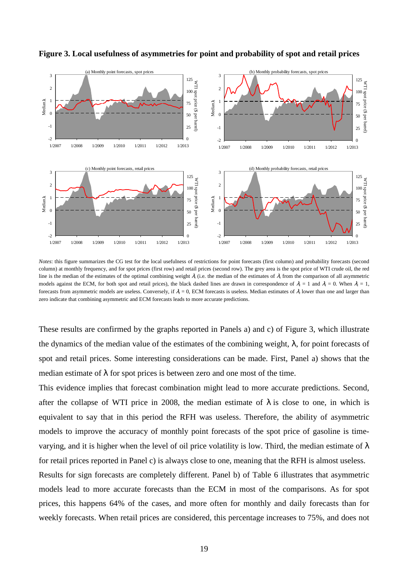

#### **Figure 3. Local usefulness of asymmetries for point and probability of spot and retail prices**

*Notes*: this figure summarizes the CG test for the local usefulness of restrictions for point forecasts (first column) and probability forecasts (second column) at monthly frequency, and for spot prices (first row) and retail prices (second row). The grey area is the spot price of WTI crude oil, the red line is the median of the estimates of the optimal combining weight  $\lambda_t$  (i.e. the median of the estimates of  $\lambda_t$  from the comparison of all asymmetric models against the ECM, for both spot and retail prices), the black dashed lines are drawn in correspondence of  $\lambda_t = 1$  and  $\lambda_t = 0$ . When  $\lambda_t = 1$ , forecasts from asymmetric models are useless. Conversely, if  $\lambda_t = 0$ . ECM forecasts is useless. Median estimates of  $\lambda$  lower than one and larger than zero indicate that combining asymmetric and ECM forecasts leads to more accurate predictions.

These results are confirmed by the graphs reported in Panels a) and c) of Figure 3, which illustrate the dynamics of the median value of the estimates of the combining weight,  $\lambda$ , for point forecasts of spot and retail prices. Some interesting considerations can be made. First, Panel a) shows that the median estimate of  $\lambda$  for spot prices is between zero and one most of the time.

This evidence implies that forecast combination might lead to more accurate predictions. Second, after the collapse of WTI price in 2008, the median estimate of  $\lambda$  is close to one, in which is equivalent to say that in this period the RFH was useless. Therefore, the ability of asymmetric models to improve the accuracy of monthly point forecasts of the spot price of gasoline is timevarying, and it is higher when the level of oil price volatility is low. Third, the median estimate of  $\lambda$ for retail prices reported in Panel c) is always close to one, meaning that the RFH is almost useless.

Results for sign forecasts are completely different. Panel b) of Table 6 illustrates that asymmetric models lead to more accurate forecasts than the ECM in most of the comparisons. As for spot prices, this happens 64% of the cases, and more often for monthly and daily forecasts than for weekly forecasts. When retail prices are considered, this percentage increases to 75%, and does not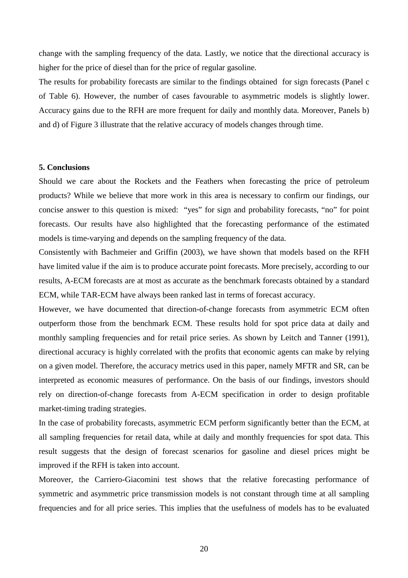change with the sampling frequency of the data. Lastly, we notice that the directional accuracy is higher for the price of diesel than for the price of regular gasoline.

The results for probability forecasts are similar to the findings obtained for sign forecasts (Panel c of Table 6). However, the number of cases favourable to asymmetric models is slightly lower. Accuracy gains due to the RFH are more frequent for daily and monthly data. Moreover, Panels b) and d) of Figure 3 illustrate that the relative accuracy of models changes through time.

#### **5. Conclusions**

Should we care about the Rockets and the Feathers when forecasting the price of petroleum products? While we believe that more work in this area is necessary to confirm our findings, our concise answer to this question is mixed: "yes" for sign and probability forecasts, "no" for point forecasts. Our results have also highlighted that the forecasting performance of the estimated models is time-varying and depends on the sampling frequency of the data.

Consistently with Bachmeier and Griffin (2003), we have shown that models based on the RFH have limited value if the aim is to produce accurate point forecasts. More precisely, according to our results, A-ECM forecasts are at most as accurate as the benchmark forecasts obtained by a standard ECM, while TAR-ECM have always been ranked last in terms of forecast accuracy.

However, we have documented that direction-of-change forecasts from asymmetric ECM often outperform those from the benchmark ECM. These results hold for spot price data at daily and monthly sampling frequencies and for retail price series. As shown by Leitch and Tanner (1991), directional accuracy is highly correlated with the profits that economic agents can make by relying on a given model. Therefore, the accuracy metrics used in this paper, namely MFTR and SR, can be interpreted as economic measures of performance. On the basis of our findings, investors should rely on direction-of-change forecasts from A-ECM specification in order to design profitable market-timing trading strategies.

In the case of probability forecasts, asymmetric ECM perform significantly better than the ECM, at all sampling frequencies for retail data, while at daily and monthly frequencies for spot data. This result suggests that the design of forecast scenarios for gasoline and diesel prices might be improved if the RFH is taken into account.

Moreover, the Carriero-Giacomini test shows that the relative forecasting performance of symmetric and asymmetric price transmission models is not constant through time at all sampling frequencies and for all price series. This implies that the usefulness of models has to be evaluated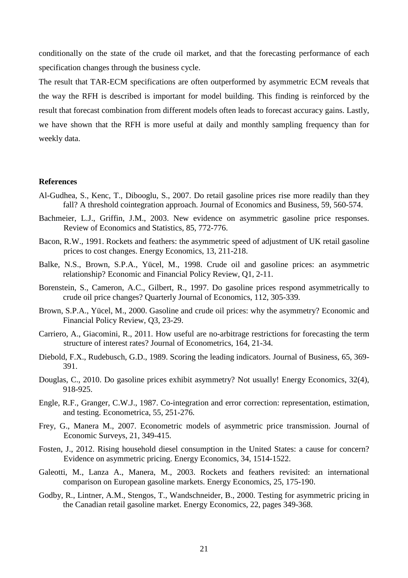conditionally on the state of the crude oil market, and that the forecasting performance of each specification changes through the business cycle.

The result that TAR-ECM specifications are often outperformed by asymmetric ECM reveals that the way the RFH is described is important for model building. This finding is reinforced by the result that forecast combination from different models often leads to forecast accuracy gains. Lastly, we have shown that the RFH is more useful at daily and monthly sampling frequency than for weekly data.

#### **References**

- Al-Gudhea, S., Kenc, T., Dibooglu, S., 2007. Do retail gasoline prices rise more readily than they fall? A threshold cointegration approach. Journal of Economics and Business, 59, 560-574.
- Bachmeier, L.J., Griffin, J.M., 2003. New evidence on asymmetric gasoline price responses. Review of Economics and Statistics, 85, 772-776.
- Bacon, R.W., 1991. Rockets and feathers: the asymmetric speed of adjustment of UK retail gasoline prices to cost changes. Energy Economics, 13, 211-218.
- Balke, N.S., Brown, S.P.A., Yücel, M., 1998. Crude oil and gasoline prices: an asymmetric relationship? Economic and Financial Policy Review, Q1, 2-11.
- Borenstein, S., Cameron, A.C., Gilbert, R., 1997. Do gasoline prices respond asymmetrically to crude oil price changes? Quarterly Journal of Economics, 112, 305-339.
- Brown, S.P.A., Yücel, M., 2000. Gasoline and crude oil prices: why the asymmetry? Economic and Financial Policy Review, Q3, 23-29.
- Carriero, A., Giacomini, R., 2011. How useful are no-arbitrage restrictions for forecasting the term structure of interest rates? Journal of Econometrics, 164, 21-34.
- Diebold, F.X., Rudebusch, G.D., 1989. Scoring the leading indicators. Journal of Business, 65, 369- 391.
- Douglas, C., 2010. Do gasoline prices exhibit asymmetry? Not usually! Energy Economics, 32(4), 918-925.
- Engle, R.F., Granger, C.W.J., 1987. Co-integration and error correction: representation, estimation, and testing. Econometrica, 55, 251-276.
- Frey, G., Manera M., 2007. Econometric models of asymmetric price transmission. Journal of Economic Surveys, 21, 349-415.
- Fosten, J., 2012. Rising household diesel consumption in the United States: a cause for concern? Evidence on asymmetric pricing. Energy Economics, 34, 1514-1522.
- Galeotti, M., Lanza A., Manera, M., 2003. Rockets and feathers revisited: an international comparison on European gasoline markets. Energy Economics, 25, 175-190.
- Godby, R., Lintner, A.M., Stengos, T., Wandschneider, B., 2000. Testing for asymmetric pricing in the Canadian retail gasoline market. Energy Economics, 22, pages 349-368.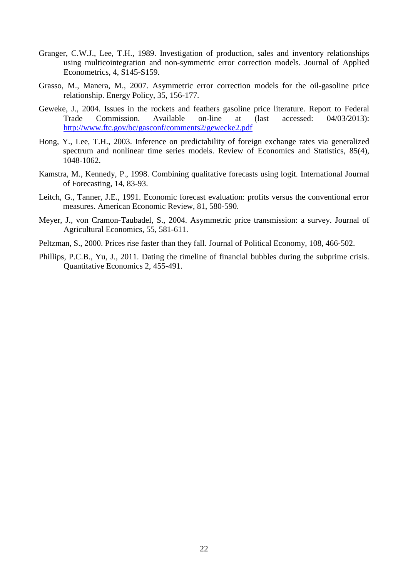- Granger, C.W.J., Lee, T.H., 1989. Investigation of production, sales and inventory relationships using multicointegration and non-symmetric error correction models. Journal of Applied Econometrics, 4, S145-S159.
- Grasso, M., Manera, M., 2007. Asymmetric error correction models for the oil-gasoline price relationship. Energy Policy, 35, 156-177.
- Geweke, J., 2004. Issues in the rockets and feathers gasoline price literature. Report to Federal Trade Commission. Available on-line at (last accessed: 04/03/2013): http://www.ftc.gov/bc/gasconf/comments2/gewecke2.pdf
- Hong, Y., Lee, T.H., 2003. Inference on predictability of foreign exchange rates via generalized spectrum and nonlinear time series models. Review of Economics and Statistics, 85(4), 1048-1062.
- Kamstra, M., Kennedy, P., 1998. Combining qualitative forecasts using logit. International Journal of Forecasting, 14, 83-93.
- Leitch, G., Tanner, J.E., 1991. Economic forecast evaluation: profits versus the conventional error measures. American Economic Review, 81, 580-590.
- Meyer, J., von Cramon-Taubadel, S., 2004. Asymmetric price transmission: a survey. Journal of Agricultural Economics, 55, 581-611.
- Peltzman, S., 2000. Prices rise faster than they fall. Journal of Political Economy, 108, 466-502.
- Phillips, P.C.B., Yu, J., 2011. Dating the timeline of financial bubbles during the subprime crisis. Quantitative Economics 2, 455-491.